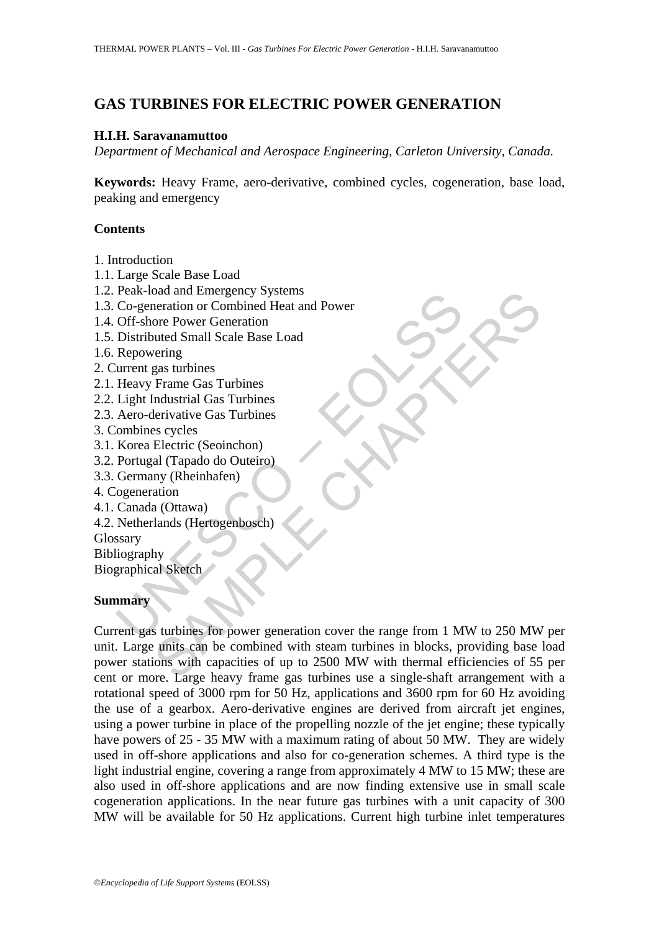# **GAS TURBINES FOR ELECTRIC POWER GENERATION**

#### **H.I.H. Saravanamuttoo**

*Department of Mechanical and Aerospace Engineering, Carleton University, Canada.* 

**Keywords:** Heavy Frame, aero-derivative, combined cycles, cogeneration, base load, peaking and emergency

#### **Contents**

- 1. Introduction
- 1.1. Large Scale Base Load
- 1.2. Peak-load and Emergency Systems
- 1.3. Co-generation or Combined Heat and Power
- 1.4. Off-shore Power Generation
- 1.5. Distributed Small Scale Base Load
- 1.6. Repowering
- 2. Current gas turbines
- 2.1. Heavy Frame Gas Turbines
- 2.2. Light Industrial Gas Turbines
- 2.3. Aero-derivative Gas Turbines
- 3. Combines cycles
- 3.1. Korea Electric (Seoinchon)
- 3.2. Portugal (Tapado do Outeiro)
- 3.3. Germany (Rheinhafen)
- 4. Cogeneration
- 4.1. Canada (Ottawa)
- 4.2. Netherlands (Hertogenbosch)

Glossary

Bibliography

Biographical Sketch

## **Summary**

Peak-load and Enliegency Systems<br>
Co-generation or Combined Heat and Power<br>
Off-shore Power Generation<br>
Distributed Small Scale Base Load<br>
Repowering<br>
urrent gas turbines<br>
Heavy Frame Gas Turbines<br>
Aero-derivative Gas Turb oad and Emergency Systems<br>
eneration or Combined Heat and Power<br>
ore Power Generation<br>
ore Power Generation<br>
thete Shall Scale Base Load<br>
Frame Gas Turbines<br>
Enceration (Sas Turbines<br>
Escycles<br>
Electric (Seoinchon)<br>
al (Ta Current gas turbines for power generation cover the range from 1 MW to 250 MW per unit. Large units can be combined with steam turbines in blocks, providing base load power stations with capacities of up to 2500 MW with thermal efficiencies of 55 per cent or more. Large heavy frame gas turbines use a single-shaft arrangement with a rotational speed of 3000 rpm for 50 Hz, applications and 3600 rpm for 60 Hz avoiding the use of a gearbox. Aero-derivative engines are derived from aircraft jet engines, using a power turbine in place of the propelling nozzle of the jet engine; these typically have powers of 25 - 35 MW with a maximum rating of about 50 MW. They are widely used in off-shore applications and also for co-generation schemes. A third type is the light industrial engine, covering a range from approximately 4 MW to 15 MW; these are also used in off-shore applications and are now finding extensive use in small scale cogeneration applications. In the near future gas turbines with a unit capacity of 300 MW will be available for 50 Hz applications. Current high turbine inlet temperatures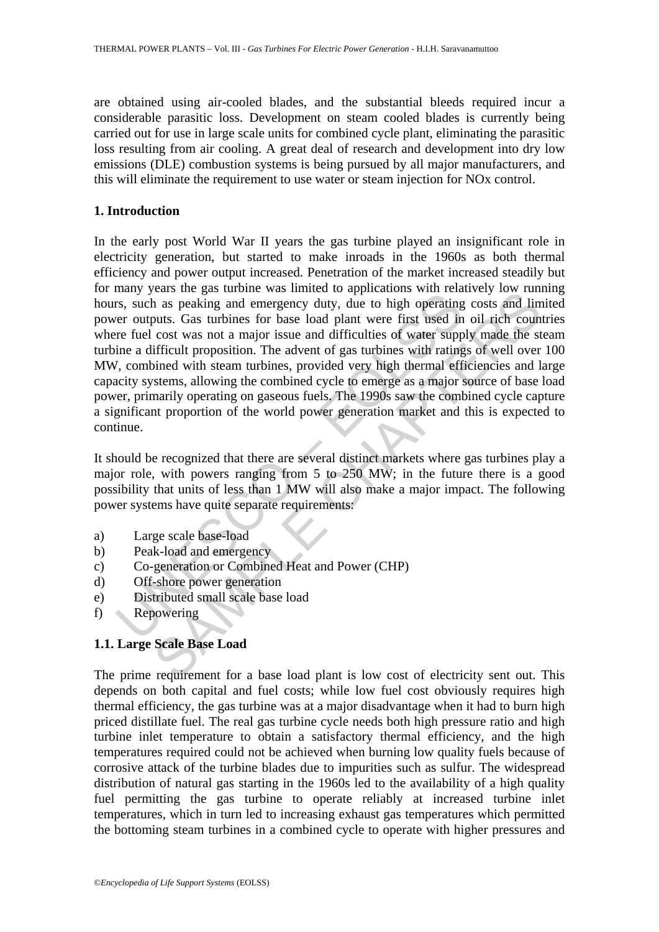are obtained using air-cooled blades, and the substantial bleeds required incur a considerable parasitic loss. Development on steam cooled blades is currently being carried out for use in large scale units for combined cycle plant, eliminating the parasitic loss resulting from air cooling. A great deal of research and development into dry low emissions (DLE) combustion systems is being pursued by all major manufacturers, and this will eliminate the requirement to use water or steam injection for NOx control.

#### **1. Introduction**

many years are as a canone was mimed to approach was mixed.<br>They say that the peraturity, due to high operating<br>er outputs. Gas turbines for base load plant were first used in<br>the fuel cost was not a major issue and diffic eas une gas turbine was innied to approations win retaining iow run.<br>In as peaking and emergency duty, due to high operating costs and lim<br>just. Gas turbines for base load plant were first used in oil rich coun<br>cost was no In the early post World War II years the gas turbine played an insignificant role in electricity generation, but started to make inroads in the 1960s as both thermal efficiency and power output increased. Penetration of the market increased steadily but for many years the gas turbine was limited to applications with relatively low running hours, such as peaking and emergency duty, due to high operating costs and limited power outputs. Gas turbines for base load plant were first used in oil rich countries where fuel cost was not a major issue and difficulties of water supply made the steam turbine a difficult proposition. The advent of gas turbines with ratings of well over 100 MW, combined with steam turbines, provided very high thermal efficiencies and large capacity systems, allowing the combined cycle to emerge as a major source of base load power, primarily operating on gaseous fuels. The 1990s saw the combined cycle capture a significant proportion of the world power generation market and this is expected to continue.

It should be recognized that there are several distinct markets where gas turbines play a major role, with powers ranging from 5 to 250 MW; in the future there is a good possibility that units of less than 1 MW will also make a major impact. The following power systems have quite separate requirements:

- a) Large scale base-load
- b) Peak-load and emergency
- c) Co-generation or Combined Heat and Power (CHP)
- d) Off-shore power generation
- e) Distributed small scale base load
- f) Repowering

## **1.1. Large Scale Base Load**

The prime requirement for a base load plant is low cost of electricity sent out. This depends on both capital and fuel costs; while low fuel cost obviously requires high thermal efficiency, the gas turbine was at a major disadvantage when it had to burn high priced distillate fuel. The real gas turbine cycle needs both high pressure ratio and high turbine inlet temperature to obtain a satisfactory thermal efficiency, and the high temperatures required could not be achieved when burning low quality fuels because of corrosive attack of the turbine blades due to impurities such as sulfur. The widespread distribution of natural gas starting in the 1960s led to the availability of a high quality fuel permitting the gas turbine to operate reliably at increased turbine inlet temperatures, which in turn led to increasing exhaust gas temperatures which permitted the bottoming steam turbines in a combined cycle to operate with higher pressures and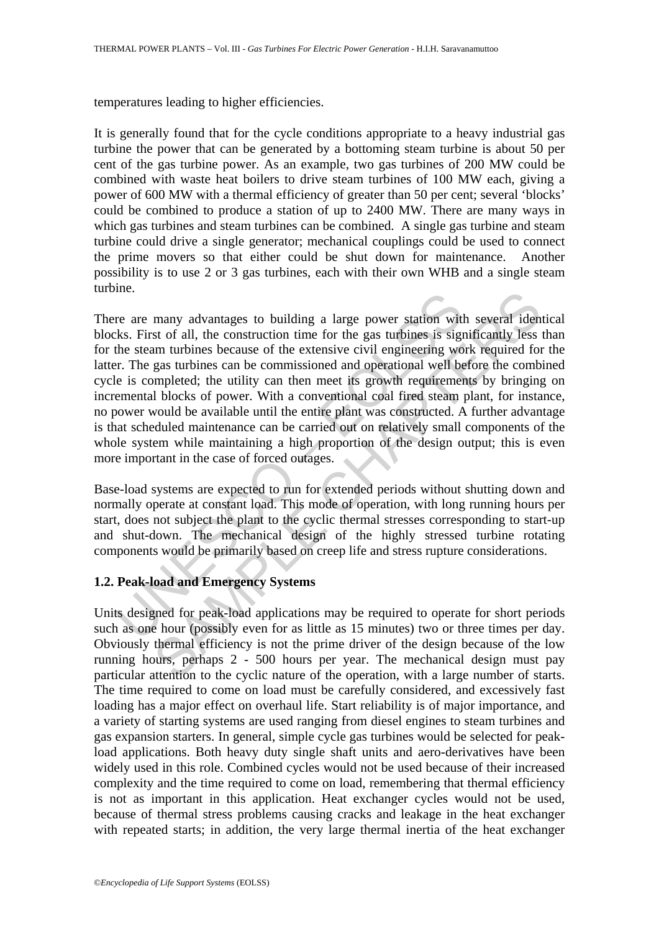temperatures leading to higher efficiencies.

It is generally found that for the cycle conditions appropriate to a heavy industrial gas turbine the power that can be generated by a bottoming steam turbine is about 50 per cent of the gas turbine power. As an example, two gas turbines of 200 MW could be combined with waste heat boilers to drive steam turbines of 100 MW each, giving a power of 600 MW with a thermal efficiency of greater than 50 per cent; several 'blocks' could be combined to produce a station of up to 2400 MW. There are many ways in which gas turbines and steam turbines can be combined. A single gas turbine and steam turbine could drive a single generator; mechanical couplings could be used to connect the prime movers so that either could be shut down for maintenance. Another possibility is to use 2 or 3 gas turbines, each with their own WHB and a single steam turbine.

Inc.<br>Inc.<br>Inc.<br>It is the seam unropresented building a large power station with<br>the seam turbines because of the extensive civil engineering wo<br>increase the extensive civil engineering wo<br>increase the six completed; the ut many advantages to building a large power station with several idents of all, the construction time for the gas utrofines is significantly less tom urbines because of the extensive civil engineering work required for gas g There are many advantages to building a large power station with several identical blocks. First of all, the construction time for the gas turbines is significantly less than for the steam turbines because of the extensive civil engineering work required for the latter. The gas turbines can be commissioned and operational well before the combined cycle is completed; the utility can then meet its growth requirements by bringing on incremental blocks of power. With a conventional coal fired steam plant, for instance, no power would be available until the entire plant was constructed. A further advantage is that scheduled maintenance can be carried out on relatively small components of the whole system while maintaining a high proportion of the design output; this is even more important in the case of forced outages.

Base-load systems are expected to run for extended periods without shutting down and normally operate at constant load. This mode of operation, with long running hours per start, does not subject the plant to the cyclic thermal stresses corresponding to start-up and shut-down. The mechanical design of the highly stressed turbine rotating components would be primarily based on creep life and stress rupture considerations.

## **1.2. Peak-load and Emergency Systems**

Units designed for peak-load applications may be required to operate for short periods such as one hour (possibly even for as little as 15 minutes) two or three times per day. Obviously thermal efficiency is not the prime driver of the design because of the low running hours, perhaps 2 - 500 hours per year. The mechanical design must pay particular attention to the cyclic nature of the operation, with a large number of starts. The time required to come on load must be carefully considered, and excessively fast loading has a major effect on overhaul life. Start reliability is of major importance, and a variety of starting systems are used ranging from diesel engines to steam turbines and gas expansion starters. In general, simple cycle gas turbines would be selected for peakload applications. Both heavy duty single shaft units and aero-derivatives have been widely used in this role. Combined cycles would not be used because of their increased complexity and the time required to come on load, remembering that thermal efficiency is not as important in this application. Heat exchanger cycles would not be used, because of thermal stress problems causing cracks and leakage in the heat exchanger with repeated starts; in addition, the very large thermal inertia of the heat exchanger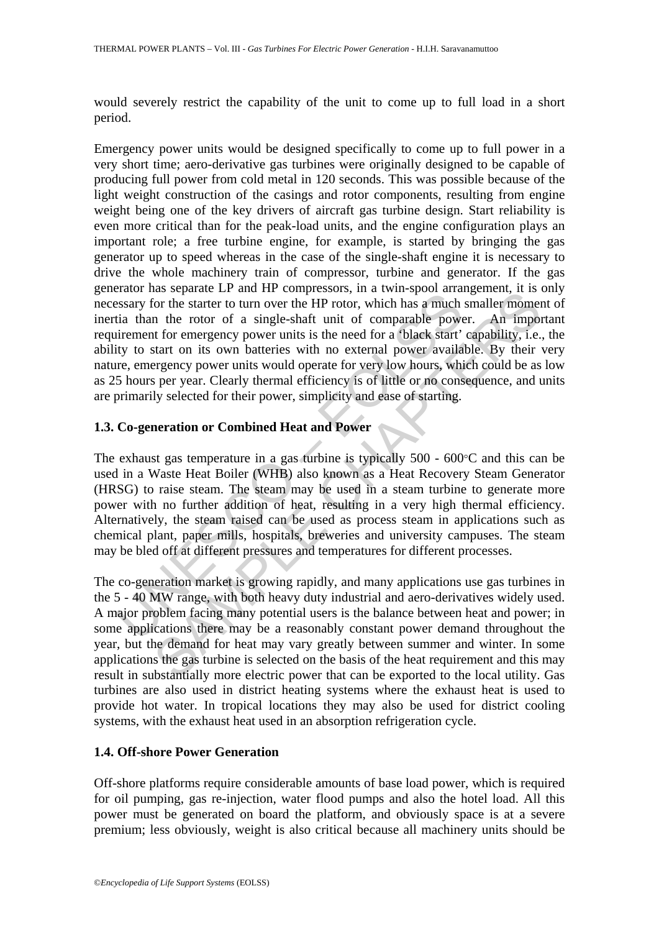would severely restrict the capability of the unit to come up to full load in a short period.

Example 12 and 12 and 11 complexiation, in the may be calculated and separation and separation in the starter to turn over the HP rotor, which has a much tia than the rotor of a single-shaft unit of comparable power infere as soparac Li and it compressions, in a twin-spoot ariangement, it is the gas turbination of the starter to turn over the HP rotor, which has a much smaller moment to for emergency power units is the need for a 'black star Emergency power units would be designed specifically to come up to full power in a very short time; aero-derivative gas turbines were originally designed to be capable of producing full power from cold metal in 120 seconds. This was possible because of the light weight construction of the casings and rotor components, resulting from engine weight being one of the key drivers of aircraft gas turbine design. Start reliability is even more critical than for the peak-load units, and the engine configuration plays an important role; a free turbine engine, for example, is started by bringing the gas generator up to speed whereas in the case of the single-shaft engine it is necessary to drive the whole machinery train of compressor, turbine and generator. If the gas generator has separate LP and HP compressors, in a twin-spool arrangement, it is only necessary for the starter to turn over the HP rotor, which has a much smaller moment of inertia than the rotor of a single-shaft unit of comparable power. An important requirement for emergency power units is the need for a 'black start' capability, i.e., the ability to start on its own batteries with no external power available. By their very nature, emergency power units would operate for very low hours, which could be as low as 25 hours per year. Clearly thermal efficiency is of little or no consequence, and units are primarily selected for their power, simplicity and ease of starting.

## **1.3. Co-generation or Combined Heat and Power**

The exhaust gas temperature in a gas turbine is typically 500 - 600°C and this can be used in a Waste Heat Boiler (WHB) also known as a Heat Recovery Steam Generator (HRSG) to raise steam. The steam may be used in a steam turbine to generate more power with no further addition of heat, resulting in a very high thermal efficiency. Alternatively, the steam raised can be used as process steam in applications such as chemical plant, paper mills, hospitals, breweries and university campuses. The steam may be bled off at different pressures and temperatures for different processes.

The co-generation market is growing rapidly, and many applications use gas turbines in the 5 - 40 MW range, with both heavy duty industrial and aero-derivatives widely used. A major problem facing many potential users is the balance between heat and power; in some applications there may be a reasonably constant power demand throughout the year, but the demand for heat may vary greatly between summer and winter. In some applications the gas turbine is selected on the basis of the heat requirement and this may result in substantially more electric power that can be exported to the local utility. Gas turbines are also used in district heating systems where the exhaust heat is used to provide hot water. In tropical locations they may also be used for district cooling systems, with the exhaust heat used in an absorption refrigeration cycle.

## **1.4. Off-shore Power Generation**

Off-shore platforms require considerable amounts of base load power, which is required for oil pumping, gas re-injection, water flood pumps and also the hotel load. All this power must be generated on board the platform, and obviously space is at a severe premium; less obviously, weight is also critical because all machinery units should be